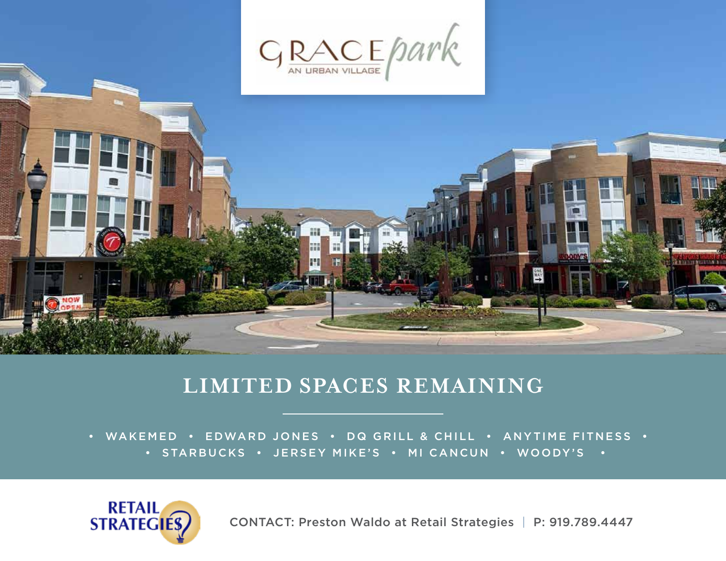



## **LIMITED SPACES REMAINING**

• WAKEMED • EDWARD JONES • DQ GRILL & CHILL • ANYTIME FITNESS • • STARBUCKS • JERSEY MIKE'S • MI CANCUN • WOODY'S •



CONTACT: Preston Waldo at Retail Strategies | P: 919.789.4447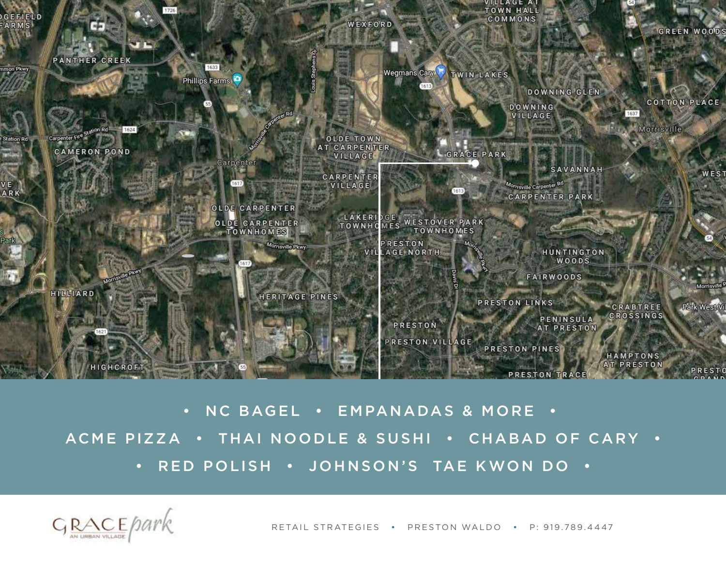

 • NC BAGEL • EMPANADAS & MORE • ACME PIZZA • THAI NOODLE & SUSHI • CHABAD OF CARY • • RED POLISH • JOHNSON'S TAE KWON DO



RETAIL STRATEGIES • PRESTON WALDO • P: 919.789.4447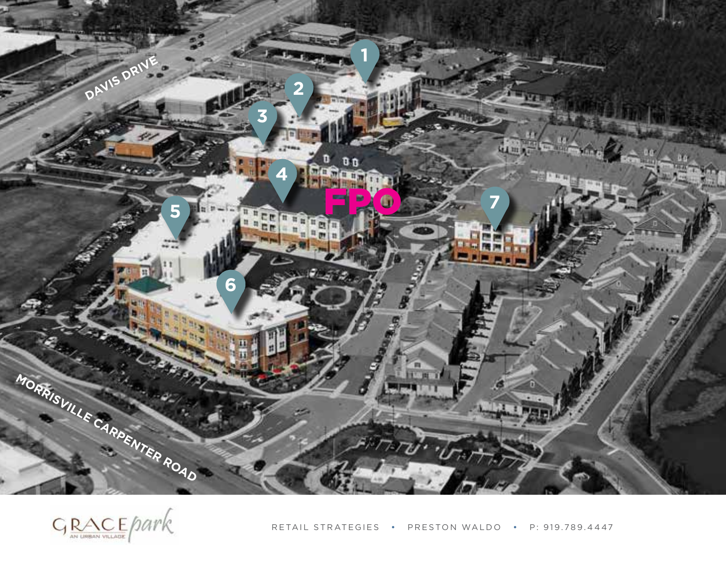

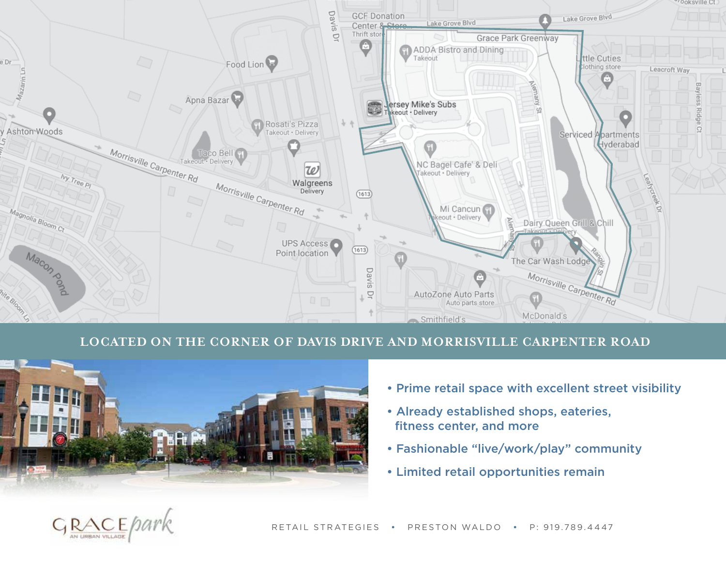

## **LOCATED ON THE CORNER OF DAVIS DRIVE AND MORRISVILLE CARPENTER ROAD**



- Prime retail space with excellent street visibility
- Already established shops, eateries, fitness center, and more
- Fashionable "live/work/play" community
- Limited retail opportunities remain